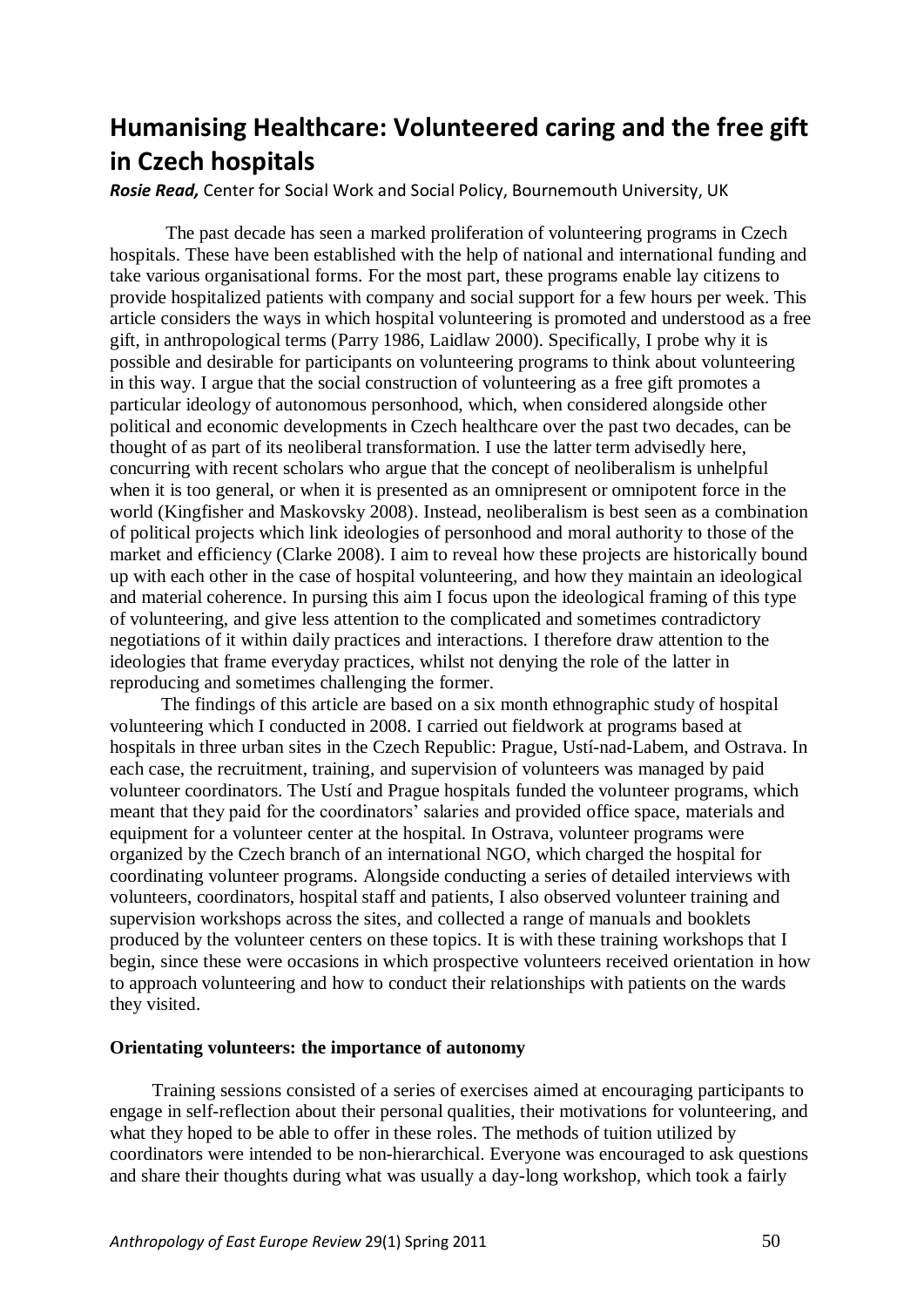# **Humanising Healthcare: Volunteered caring and the free gift in Czech hospitals**

*Rosie Read,* Center for Social Work and Social Policy, Bournemouth University, UK

The past decade has seen a marked proliferation of volunteering programs in Czech hospitals. These have been established with the help of national and international funding and take various organisational forms. For the most part, these programs enable lay citizens to provide hospitalized patients with company and social support for a few hours per week. This article considers the ways in which hospital volunteering is promoted and understood as a free gift, in anthropological terms (Parry 1986, Laidlaw 2000). Specifically, I probe why it is possible and desirable for participants on volunteering programs to think about volunteering in this way. I argue that the social construction of volunteering as a free gift promotes a particular ideology of autonomous personhood, which, when considered alongside other political and economic developments in Czech healthcare over the past two decades, can be thought of as part of its neoliberal transformation. I use the latter term advisedly here, concurring with recent scholars who argue that the concept of neoliberalism is unhelpful when it is too general, or when it is presented as an omnipresent or omnipotent force in the world (Kingfisher and Maskovsky 2008). Instead, neoliberalism is best seen as a combination of political projects which link ideologies of personhood and moral authority to those of the market and efficiency (Clarke 2008). I aim to reveal how these projects are historically bound up with each other in the case of hospital volunteering, and how they maintain an ideological and material coherence. In pursing this aim I focus upon the ideological framing of this type of volunteering, and give less attention to the complicated and sometimes contradictory negotiations of it within daily practices and interactions. I therefore draw attention to the ideologies that frame everyday practices, whilst not denying the role of the latter in reproducing and sometimes challenging the former.

The findings of this article are based on a six month ethnographic study of hospital volunteering which I conducted in 2008. I carried out fieldwork at programs based at hospitals in three urban sites in the Czech Republic: Prague, Ustí-nad-Labem, and Ostrava. In each case, the recruitment, training, and supervision of volunteers was managed by paid volunteer coordinators. The Ustí and Prague hospitals funded the volunteer programs, which meant that they paid for the coordinators" salaries and provided office space, materials and equipment for a volunteer center at the hospital. In Ostrava, volunteer programs were organized by the Czech branch of an international NGO, which charged the hospital for coordinating volunteer programs. Alongside conducting a series of detailed interviews with volunteers, coordinators, hospital staff and patients, I also observed volunteer training and supervision workshops across the sites, and collected a range of manuals and booklets produced by the volunteer centers on these topics. It is with these training workshops that I begin, since these were occasions in which prospective volunteers received orientation in how to approach volunteering and how to conduct their relationships with patients on the wards they visited.

## **Orientating volunteers: the importance of autonomy**

Training sessions consisted of a series of exercises aimed at encouraging participants to engage in self-reflection about their personal qualities, their motivations for volunteering, and what they hoped to be able to offer in these roles. The methods of tuition utilized by coordinators were intended to be non-hierarchical. Everyone was encouraged to ask questions and share their thoughts during what was usually a day-long workshop, which took a fairly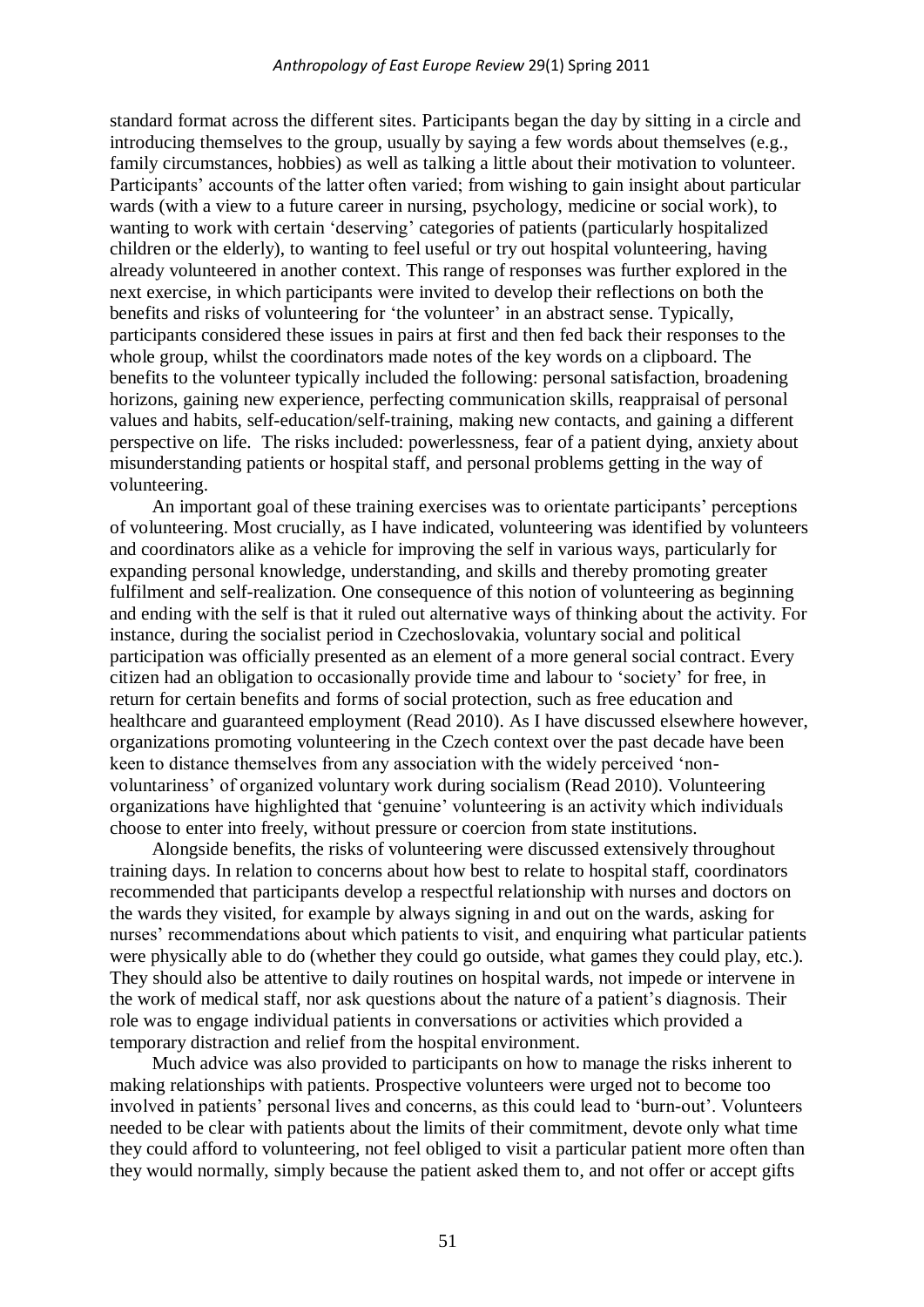standard format across the different sites. Participants began the day by sitting in a circle and introducing themselves to the group, usually by saying a few words about themselves (e.g., family circumstances, hobbies) as well as talking a little about their motivation to volunteer. Participants' accounts of the latter often varied; from wishing to gain insight about particular wards (with a view to a future career in nursing, psychology, medicine or social work), to wanting to work with certain 'deserving' categories of patients (particularly hospitalized children or the elderly), to wanting to feel useful or try out hospital volunteering, having already volunteered in another context. This range of responses was further explored in the next exercise, in which participants were invited to develop their reflections on both the benefits and risks of volunteering for 'the volunteer' in an abstract sense. Typically, participants considered these issues in pairs at first and then fed back their responses to the whole group, whilst the coordinators made notes of the key words on a clipboard. The benefits to the volunteer typically included the following: personal satisfaction, broadening horizons, gaining new experience, perfecting communication skills, reappraisal of personal values and habits, self-education/self-training, making new contacts, and gaining a different perspective on life. The risks included: powerlessness, fear of a patient dying, anxiety about misunderstanding patients or hospital staff, and personal problems getting in the way of volunteering.

An important goal of these training exercises was to orientate participants' perceptions of volunteering. Most crucially, as I have indicated, volunteering was identified by volunteers and coordinators alike as a vehicle for improving the self in various ways, particularly for expanding personal knowledge, understanding, and skills and thereby promoting greater fulfilment and self-realization. One consequence of this notion of volunteering as beginning and ending with the self is that it ruled out alternative ways of thinking about the activity. For instance, during the socialist period in Czechoslovakia, voluntary social and political participation was officially presented as an element of a more general social contract. Every citizen had an obligation to occasionally provide time and labour to "society" for free, in return for certain benefits and forms of social protection, such as free education and healthcare and guaranteed employment (Read 2010). As I have discussed elsewhere however, organizations promoting volunteering in the Czech context over the past decade have been keen to distance themselves from any association with the widely perceived "nonvoluntariness" of organized voluntary work during socialism (Read 2010). Volunteering organizations have highlighted that "genuine" volunteering is an activity which individuals choose to enter into freely, without pressure or coercion from state institutions.

Alongside benefits, the risks of volunteering were discussed extensively throughout training days. In relation to concerns about how best to relate to hospital staff, coordinators recommended that participants develop a respectful relationship with nurses and doctors on the wards they visited, for example by always signing in and out on the wards, asking for nurses' recommendations about which patients to visit, and enquiring what particular patients were physically able to do (whether they could go outside, what games they could play, etc.). They should also be attentive to daily routines on hospital wards, not impede or intervene in the work of medical staff, nor ask questions about the nature of a patient's diagnosis. Their role was to engage individual patients in conversations or activities which provided a temporary distraction and relief from the hospital environment.

Much advice was also provided to participants on how to manage the risks inherent to making relationships with patients. Prospective volunteers were urged not to become too involved in patients' personal lives and concerns, as this could lead to 'burn-out'. Volunteers needed to be clear with patients about the limits of their commitment, devote only what time they could afford to volunteering, not feel obliged to visit a particular patient more often than they would normally, simply because the patient asked them to, and not offer or accept gifts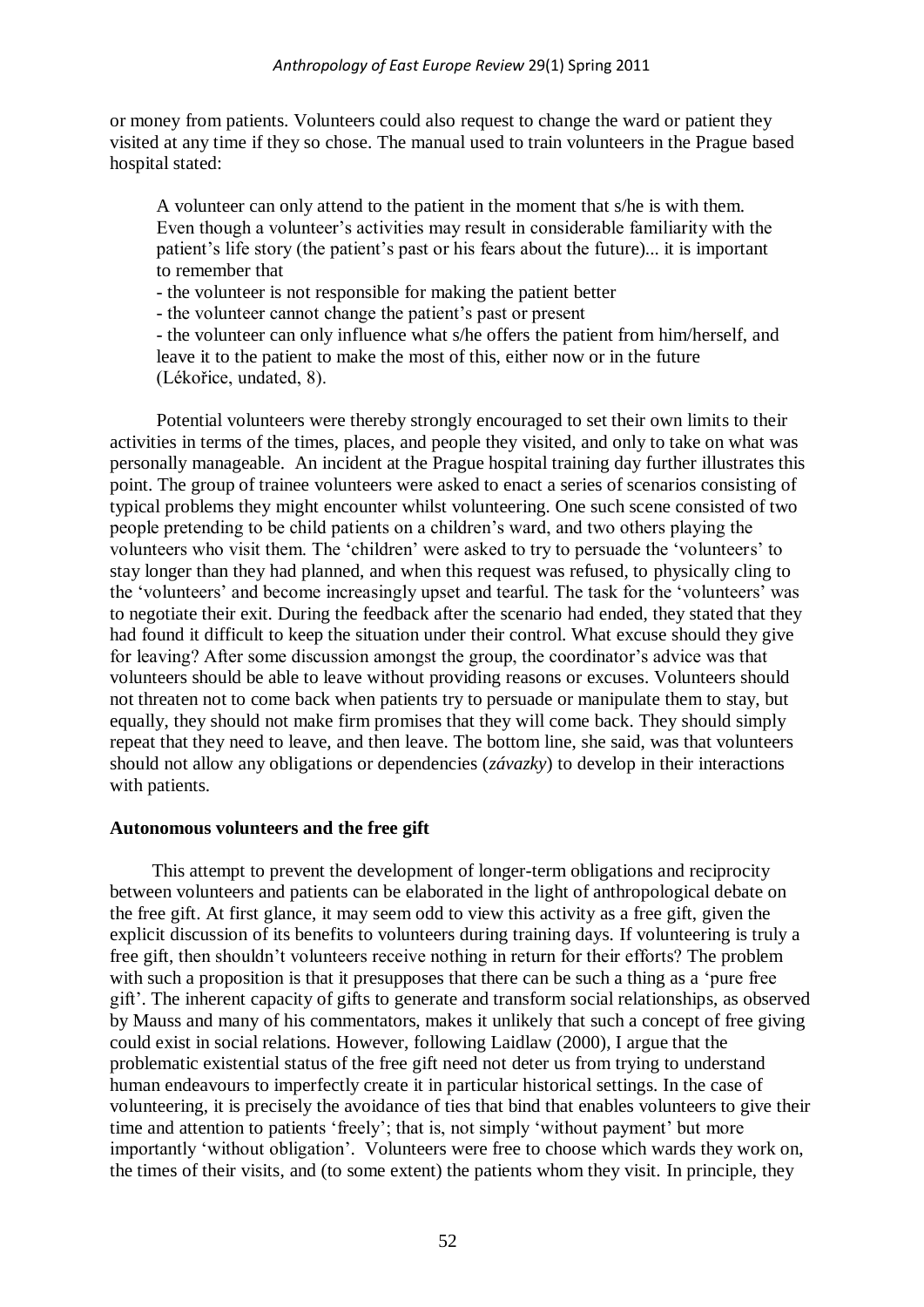or money from patients. Volunteers could also request to change the ward or patient they visited at any time if they so chose. The manual used to train volunteers in the Prague based hospital stated:

A volunteer can only attend to the patient in the moment that s/he is with them. Even though a volunteer"s activities may result in considerable familiarity with the patient's life story (the patient's past or his fears about the future)... it is important to remember that

- the volunteer is not responsible for making the patient better

- the volunteer cannot change the patient"s past or present

- the volunteer can only influence what s/he offers the patient from him/herself, and leave it to the patient to make the most of this, either now or in the future (Lékořice, undated, 8).

Potential volunteers were thereby strongly encouraged to set their own limits to their activities in terms of the times, places, and people they visited, and only to take on what was personally manageable. An incident at the Prague hospital training day further illustrates this point. The group of trainee volunteers were asked to enact a series of scenarios consisting of typical problems they might encounter whilst volunteering. One such scene consisted of two people pretending to be child patients on a children"s ward, and two others playing the volunteers who visit them. The "children" were asked to try to persuade the "volunteers" to stay longer than they had planned, and when this request was refused, to physically cling to the 'volunteers' and become increasingly upset and tearful. The task for the 'volunteers' was to negotiate their exit. During the feedback after the scenario had ended, they stated that they had found it difficult to keep the situation under their control. What excuse should they give for leaving? After some discussion amongst the group, the coordinator's advice was that volunteers should be able to leave without providing reasons or excuses. Volunteers should not threaten not to come back when patients try to persuade or manipulate them to stay, but equally, they should not make firm promises that they will come back. They should simply repeat that they need to leave, and then leave. The bottom line, she said, was that volunteers should not allow any obligations or dependencies (*závazky*) to develop in their interactions with patients.

### **Autonomous volunteers and the free gift**

This attempt to prevent the development of longer-term obligations and reciprocity between volunteers and patients can be elaborated in the light of anthropological debate on the free gift. At first glance, it may seem odd to view this activity as a free gift, given the explicit discussion of its benefits to volunteers during training days. If volunteering is truly a free gift, then shouldn"t volunteers receive nothing in return for their efforts? The problem with such a proposition is that it presupposes that there can be such a thing as a 'pure free gift". The inherent capacity of gifts to generate and transform social relationships, as observed by Mauss and many of his commentators, makes it unlikely that such a concept of free giving could exist in social relations. However, following Laidlaw (2000), I argue that the problematic existential status of the free gift need not deter us from trying to understand human endeavours to imperfectly create it in particular historical settings. In the case of volunteering, it is precisely the avoidance of ties that bind that enables volunteers to give their time and attention to patients 'freely'; that is, not simply 'without payment' but more importantly "without obligation". Volunteers were free to choose which wards they work on, the times of their visits, and (to some extent) the patients whom they visit. In principle, they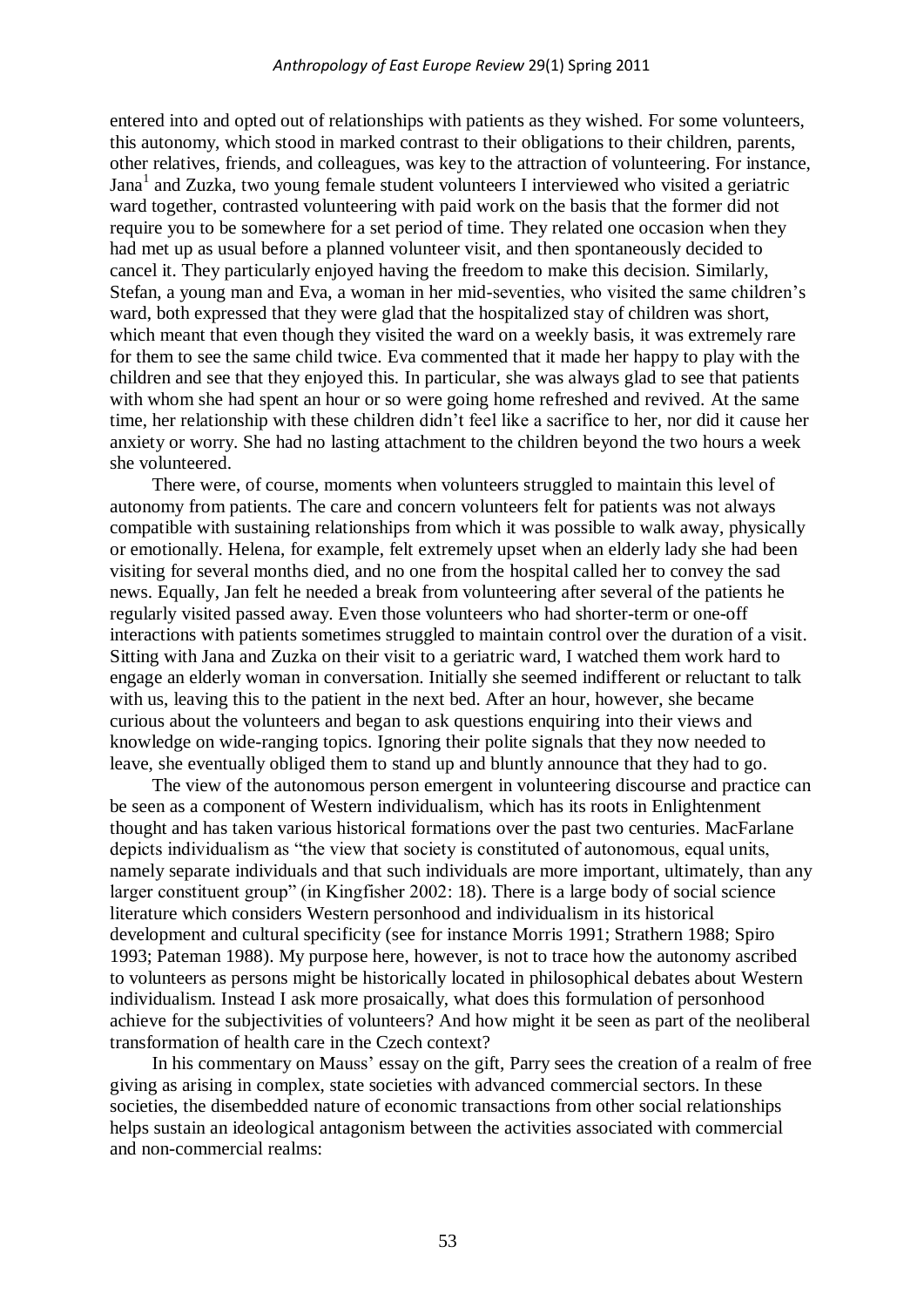entered into and opted out of relationships with patients as they wished. For some volunteers, this autonomy, which stood in marked contrast to their obligations to their children, parents, other relatives, friends, and colleagues, was key to the attraction of volunteering. For instance, Jana<sup>1</sup> and Zuzka, two young female student volunteers I interviewed who visited a geriatric ward together, contrasted volunteering with paid work on the basis that the former did not require you to be somewhere for a set period of time. They related one occasion when they had met up as usual before a planned volunteer visit, and then spontaneously decided to cancel it. They particularly enjoyed having the freedom to make this decision. Similarly, Stefan, a young man and Eva, a woman in her mid-seventies, who visited the same children"s ward, both expressed that they were glad that the hospitalized stay of children was short, which meant that even though they visited the ward on a weekly basis, it was extremely rare for them to see the same child twice. Eva commented that it made her happy to play with the children and see that they enjoyed this. In particular, she was always glad to see that patients with whom she had spent an hour or so were going home refreshed and revived. At the same time, her relationship with these children didn"t feel like a sacrifice to her, nor did it cause her anxiety or worry. She had no lasting attachment to the children beyond the two hours a week she volunteered.

There were, of course, moments when volunteers struggled to maintain this level of autonomy from patients. The care and concern volunteers felt for patients was not always compatible with sustaining relationships from which it was possible to walk away, physically or emotionally. Helena, for example, felt extremely upset when an elderly lady she had been visiting for several months died, and no one from the hospital called her to convey the sad news. Equally, Jan felt he needed a break from volunteering after several of the patients he regularly visited passed away. Even those volunteers who had shorter-term or one-off interactions with patients sometimes struggled to maintain control over the duration of a visit. Sitting with Jana and Zuzka on their visit to a geriatric ward, I watched them work hard to engage an elderly woman in conversation. Initially she seemed indifferent or reluctant to talk with us, leaving this to the patient in the next bed. After an hour, however, she became curious about the volunteers and began to ask questions enquiring into their views and knowledge on wide-ranging topics. Ignoring their polite signals that they now needed to leave, she eventually obliged them to stand up and bluntly announce that they had to go.

The view of the autonomous person emergent in volunteering discourse and practice can be seen as a component of Western individualism, which has its roots in Enlightenment thought and has taken various historical formations over the past two centuries. MacFarlane depicts individualism as "the view that society is constituted of autonomous, equal units, namely separate individuals and that such individuals are more important, ultimately, than any larger constituent group" (in Kingfisher 2002: 18). There is a large body of social science literature which considers Western personhood and individualism in its historical development and cultural specificity (see for instance Morris 1991; Strathern 1988; Spiro 1993; Pateman 1988). My purpose here, however, is not to trace how the autonomy ascribed to volunteers as persons might be historically located in philosophical debates about Western individualism. Instead I ask more prosaically, what does this formulation of personhood achieve for the subjectivities of volunteers? And how might it be seen as part of the neoliberal transformation of health care in the Czech context?

In his commentary on Mauss' essay on the gift, Parry sees the creation of a realm of free giving as arising in complex, state societies with advanced commercial sectors. In these societies, the disembedded nature of economic transactions from other social relationships helps sustain an ideological antagonism between the activities associated with commercial and non-commercial realms: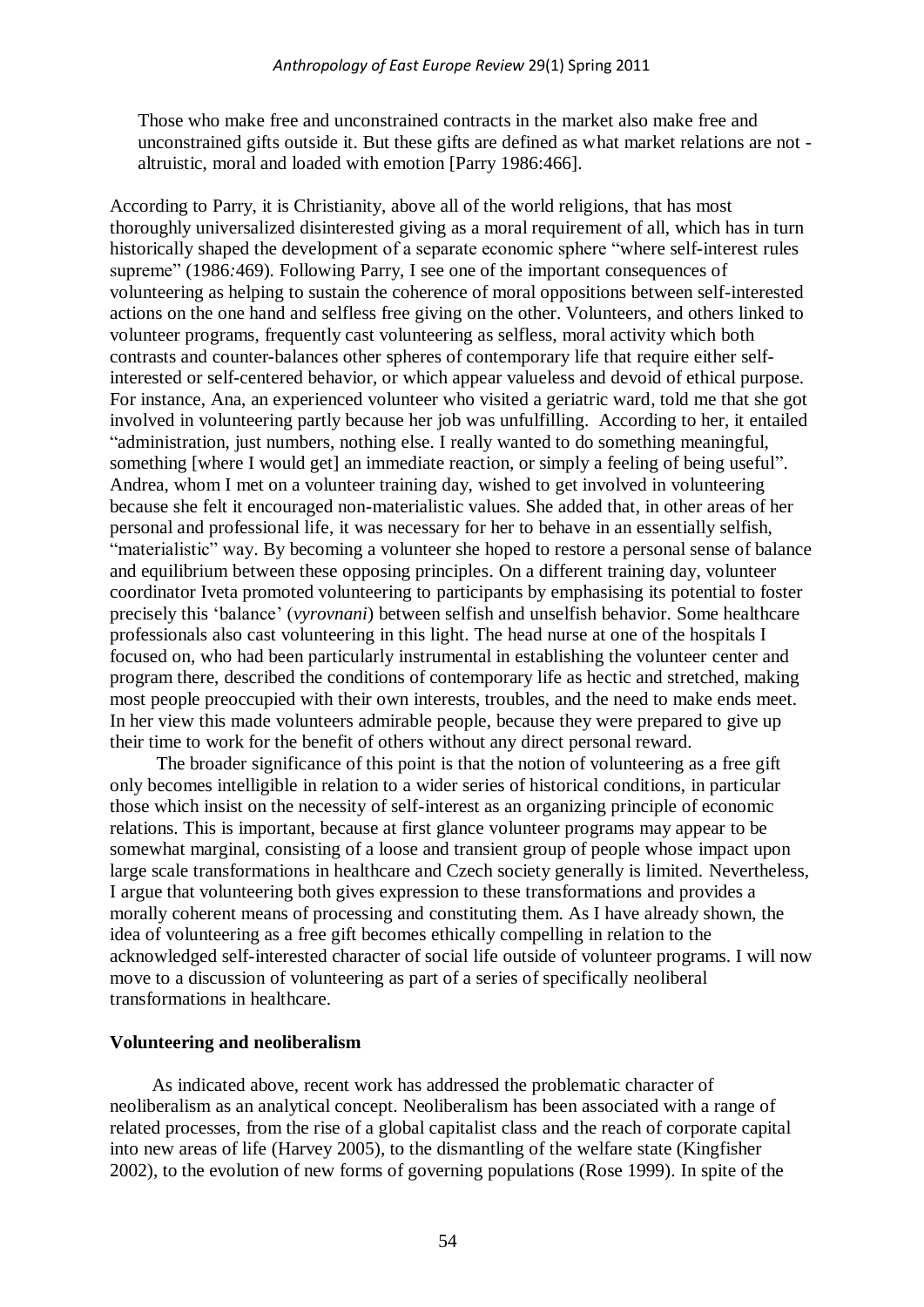Those who make free and unconstrained contracts in the market also make free and unconstrained gifts outside it. But these gifts are defined as what market relations are not altruistic, moral and loaded with emotion [Parry 1986:466].

According to Parry, it is Christianity, above all of the world religions, that has most thoroughly universalized disinterested giving as a moral requirement of all, which has in turn historically shaped the development of a separate economic sphere "where self-interest rules supreme" (1986*:*469). Following Parry, I see one of the important consequences of volunteering as helping to sustain the coherence of moral oppositions between self-interested actions on the one hand and selfless free giving on the other. Volunteers, and others linked to volunteer programs, frequently cast volunteering as selfless, moral activity which both contrasts and counter-balances other spheres of contemporary life that require either selfinterested or self-centered behavior, or which appear valueless and devoid of ethical purpose. For instance, Ana, an experienced volunteer who visited a geriatric ward, told me that she got involved in volunteering partly because her job was unfulfilling. According to her, it entailed "administration, just numbers, nothing else. I really wanted to do something meaningful, something [where I would get] an immediate reaction, or simply a feeling of being useful". Andrea, whom I met on a volunteer training day, wished to get involved in volunteering because she felt it encouraged non-materialistic values. She added that, in other areas of her personal and professional life, it was necessary for her to behave in an essentially selfish, "materialistic" way. By becoming a volunteer she hoped to restore a personal sense of balance and equilibrium between these opposing principles. On a different training day, volunteer coordinator Iveta promoted volunteering to participants by emphasising its potential to foster precisely this "balance" (*vyrovnani*) between selfish and unselfish behavior. Some healthcare professionals also cast volunteering in this light. The head nurse at one of the hospitals I focused on, who had been particularly instrumental in establishing the volunteer center and program there, described the conditions of contemporary life as hectic and stretched, making most people preoccupied with their own interests, troubles, and the need to make ends meet. In her view this made volunteers admirable people, because they were prepared to give up their time to work for the benefit of others without any direct personal reward.

The broader significance of this point is that the notion of volunteering as a free gift only becomes intelligible in relation to a wider series of historical conditions, in particular those which insist on the necessity of self-interest as an organizing principle of economic relations. This is important, because at first glance volunteer programs may appear to be somewhat marginal, consisting of a loose and transient group of people whose impact upon large scale transformations in healthcare and Czech society generally is limited. Nevertheless, I argue that volunteering both gives expression to these transformations and provides a morally coherent means of processing and constituting them. As I have already shown, the idea of volunteering as a free gift becomes ethically compelling in relation to the acknowledged self-interested character of social life outside of volunteer programs. I will now move to a discussion of volunteering as part of a series of specifically neoliberal transformations in healthcare.

#### **Volunteering and neoliberalism**

As indicated above, recent work has addressed the problematic character of neoliberalism as an analytical concept. Neoliberalism has been associated with a range of related processes, from the rise of a global capitalist class and the reach of corporate capital into new areas of life (Harvey 2005), to the dismantling of the welfare state (Kingfisher 2002), to the evolution of new forms of governing populations (Rose 1999). In spite of the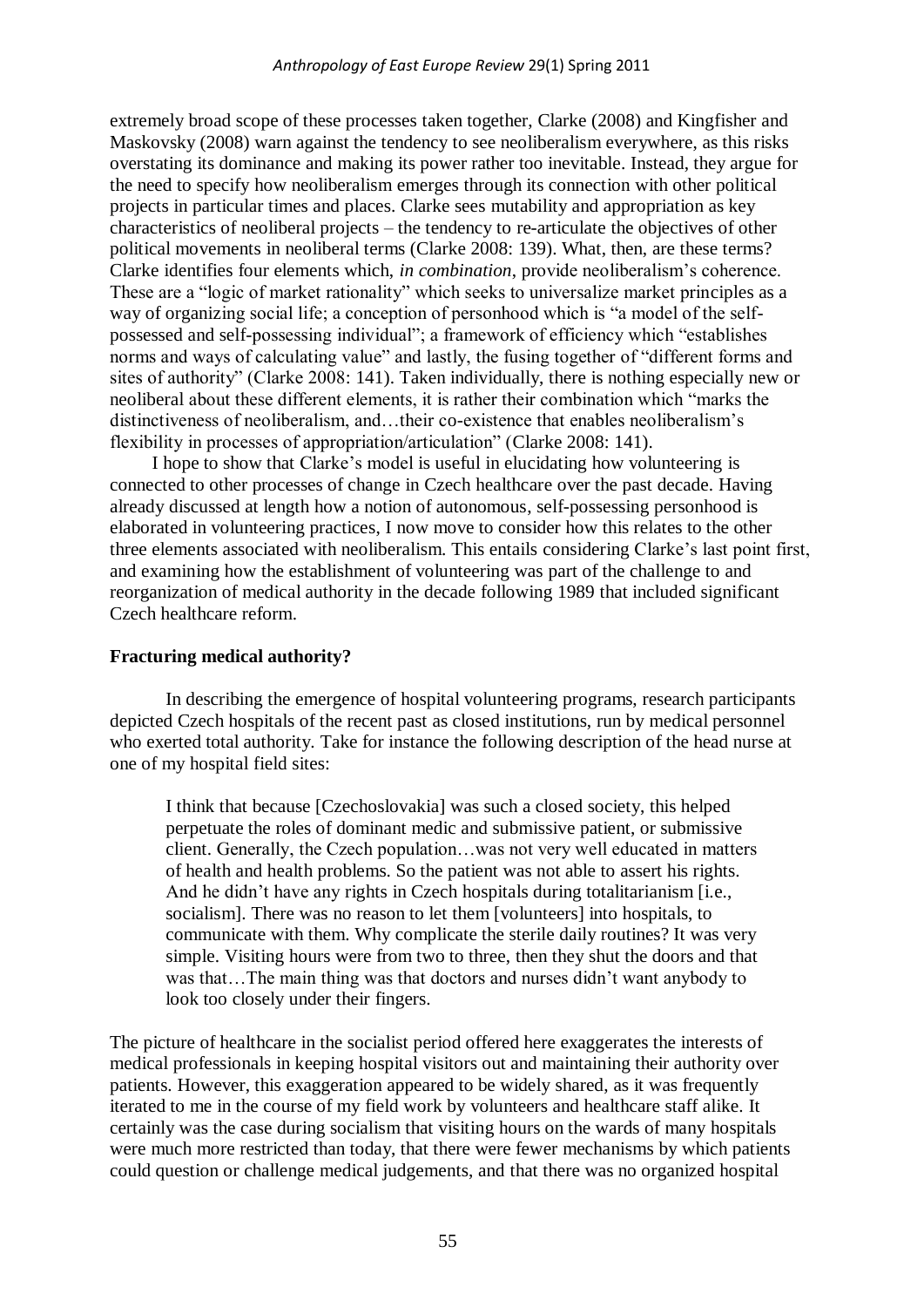extremely broad scope of these processes taken together, Clarke (2008) and Kingfisher and Maskovsky (2008) warn against the tendency to see neoliberalism everywhere, as this risks overstating its dominance and making its power rather too inevitable. Instead, they argue for the need to specify how neoliberalism emerges through its connection with other political projects in particular times and places. Clarke sees mutability and appropriation as key characteristics of neoliberal projects – the tendency to re-articulate the objectives of other political movements in neoliberal terms (Clarke 2008: 139). What, then, are these terms? Clarke identifies four elements which, *in combination*, provide neoliberalism"s coherence. These are a "logic of market rationality" which seeks to universalize market principles as a way of organizing social life; a conception of personhood which is "a model of the selfpossessed and self-possessing individual"; a framework of efficiency which "establishes norms and ways of calculating value" and lastly, the fusing together of "different forms and sites of authority" (Clarke 2008: 141). Taken individually, there is nothing especially new or neoliberal about these different elements, it is rather their combination which "marks the distinctiveness of neoliberalism, and…their co-existence that enables neoliberalism"s flexibility in processes of appropriation/articulation" (Clarke 2008: 141).

I hope to show that Clarke"s model is useful in elucidating how volunteering is connected to other processes of change in Czech healthcare over the past decade. Having already discussed at length how a notion of autonomous, self-possessing personhood is elaborated in volunteering practices, I now move to consider how this relates to the other three elements associated with neoliberalism. This entails considering Clarke"s last point first, and examining how the establishment of volunteering was part of the challenge to and reorganization of medical authority in the decade following 1989 that included significant Czech healthcare reform.

# **Fracturing medical authority?**

In describing the emergence of hospital volunteering programs, research participants depicted Czech hospitals of the recent past as closed institutions, run by medical personnel who exerted total authority. Take for instance the following description of the head nurse at one of my hospital field sites:

I think that because [Czechoslovakia] was such a closed society, this helped perpetuate the roles of dominant medic and submissive patient, or submissive client. Generally, the Czech population…was not very well educated in matters of health and health problems. So the patient was not able to assert his rights. And he didn't have any rights in Czech hospitals during totalitarianism [i.e., socialism]. There was no reason to let them [volunteers] into hospitals, to communicate with them. Why complicate the sterile daily routines? It was very simple. Visiting hours were from two to three, then they shut the doors and that was that…The main thing was that doctors and nurses didn"t want anybody to look too closely under their fingers.

The picture of healthcare in the socialist period offered here exaggerates the interests of medical professionals in keeping hospital visitors out and maintaining their authority over patients. However, this exaggeration appeared to be widely shared, as it was frequently iterated to me in the course of my field work by volunteers and healthcare staff alike. It certainly was the case during socialism that visiting hours on the wards of many hospitals were much more restricted than today, that there were fewer mechanisms by which patients could question or challenge medical judgements, and that there was no organized hospital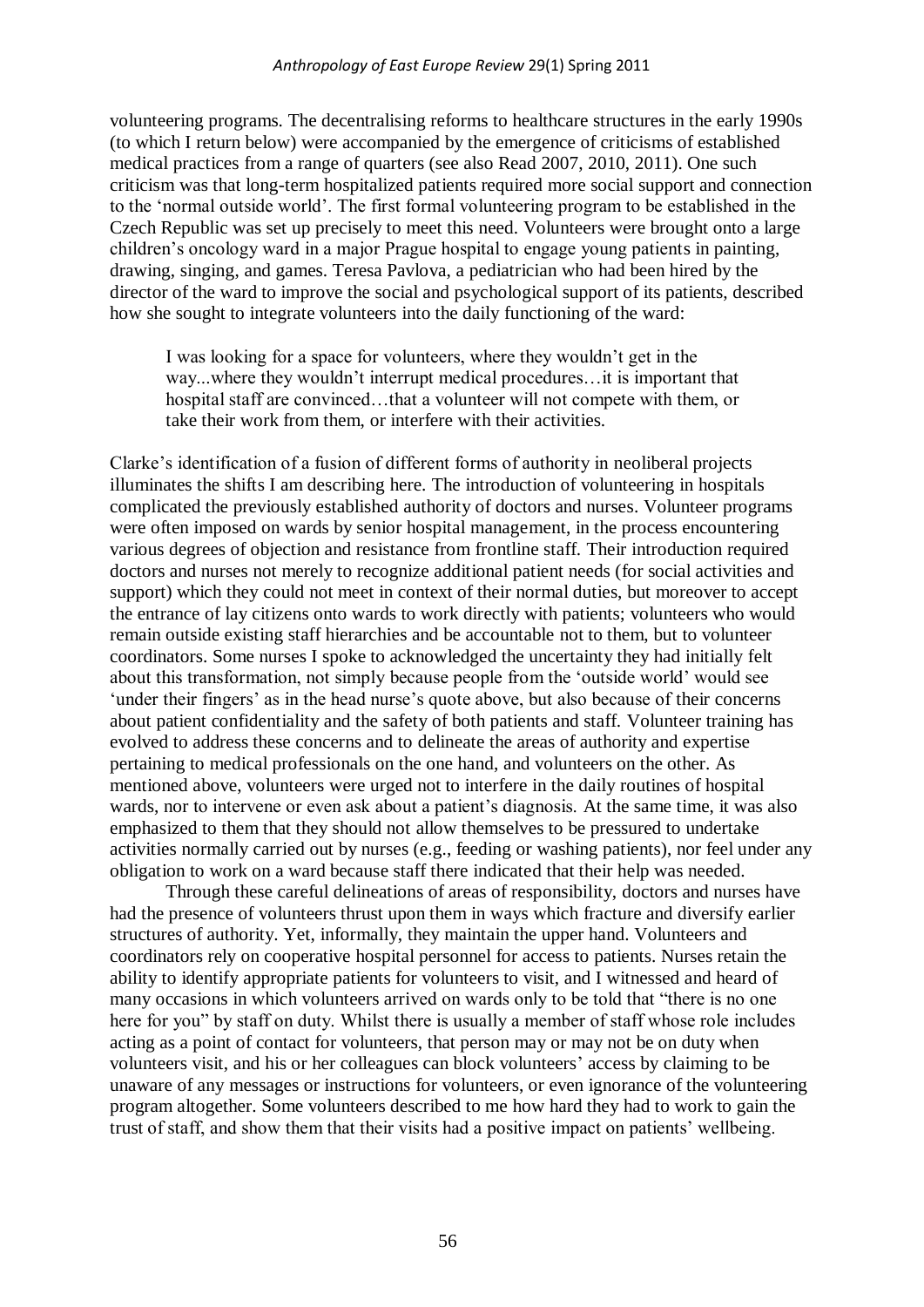volunteering programs. The decentralising reforms to healthcare structures in the early 1990s (to which I return below) were accompanied by the emergence of criticisms of established medical practices from a range of quarters (see also Read 2007, 2010, 2011). One such criticism was that long-term hospitalized patients required more social support and connection to the "normal outside world". The first formal volunteering program to be established in the Czech Republic was set up precisely to meet this need. Volunteers were brought onto a large children"s oncology ward in a major Prague hospital to engage young patients in painting, drawing, singing, and games. Teresa Pavlova, a pediatrician who had been hired by the director of the ward to improve the social and psychological support of its patients, described how she sought to integrate volunteers into the daily functioning of the ward:

I was looking for a space for volunteers, where they wouldn"t get in the way...where they wouldn"t interrupt medical procedures…it is important that hospital staff are convinced...that a volunteer will not compete with them, or take their work from them, or interfere with their activities.

Clarke"s identification of a fusion of different forms of authority in neoliberal projects illuminates the shifts I am describing here. The introduction of volunteering in hospitals complicated the previously established authority of doctors and nurses. Volunteer programs were often imposed on wards by senior hospital management, in the process encountering various degrees of objection and resistance from frontline staff. Their introduction required doctors and nurses not merely to recognize additional patient needs (for social activities and support) which they could not meet in context of their normal duties, but moreover to accept the entrance of lay citizens onto wards to work directly with patients; volunteers who would remain outside existing staff hierarchies and be accountable not to them, but to volunteer coordinators. Some nurses I spoke to acknowledged the uncertainty they had initially felt about this transformation, not simply because people from the "outside world" would see 'under their fingers' as in the head nurse's quote above, but also because of their concerns about patient confidentiality and the safety of both patients and staff. Volunteer training has evolved to address these concerns and to delineate the areas of authority and expertise pertaining to medical professionals on the one hand, and volunteers on the other. As mentioned above, volunteers were urged not to interfere in the daily routines of hospital wards, nor to intervene or even ask about a patient's diagnosis. At the same time, it was also emphasized to them that they should not allow themselves to be pressured to undertake activities normally carried out by nurses (e.g., feeding or washing patients), nor feel under any obligation to work on a ward because staff there indicated that their help was needed.

Through these careful delineations of areas of responsibility, doctors and nurses have had the presence of volunteers thrust upon them in ways which fracture and diversify earlier structures of authority. Yet, informally, they maintain the upper hand. Volunteers and coordinators rely on cooperative hospital personnel for access to patients. Nurses retain the ability to identify appropriate patients for volunteers to visit, and I witnessed and heard of many occasions in which volunteers arrived on wards only to be told that "there is no one here for you" by staff on duty. Whilst there is usually a member of staff whose role includes acting as a point of contact for volunteers, that person may or may not be on duty when volunteers visit, and his or her colleagues can block volunteers" access by claiming to be unaware of any messages or instructions for volunteers, or even ignorance of the volunteering program altogether. Some volunteers described to me how hard they had to work to gain the trust of staff, and show them that their visits had a positive impact on patients" wellbeing.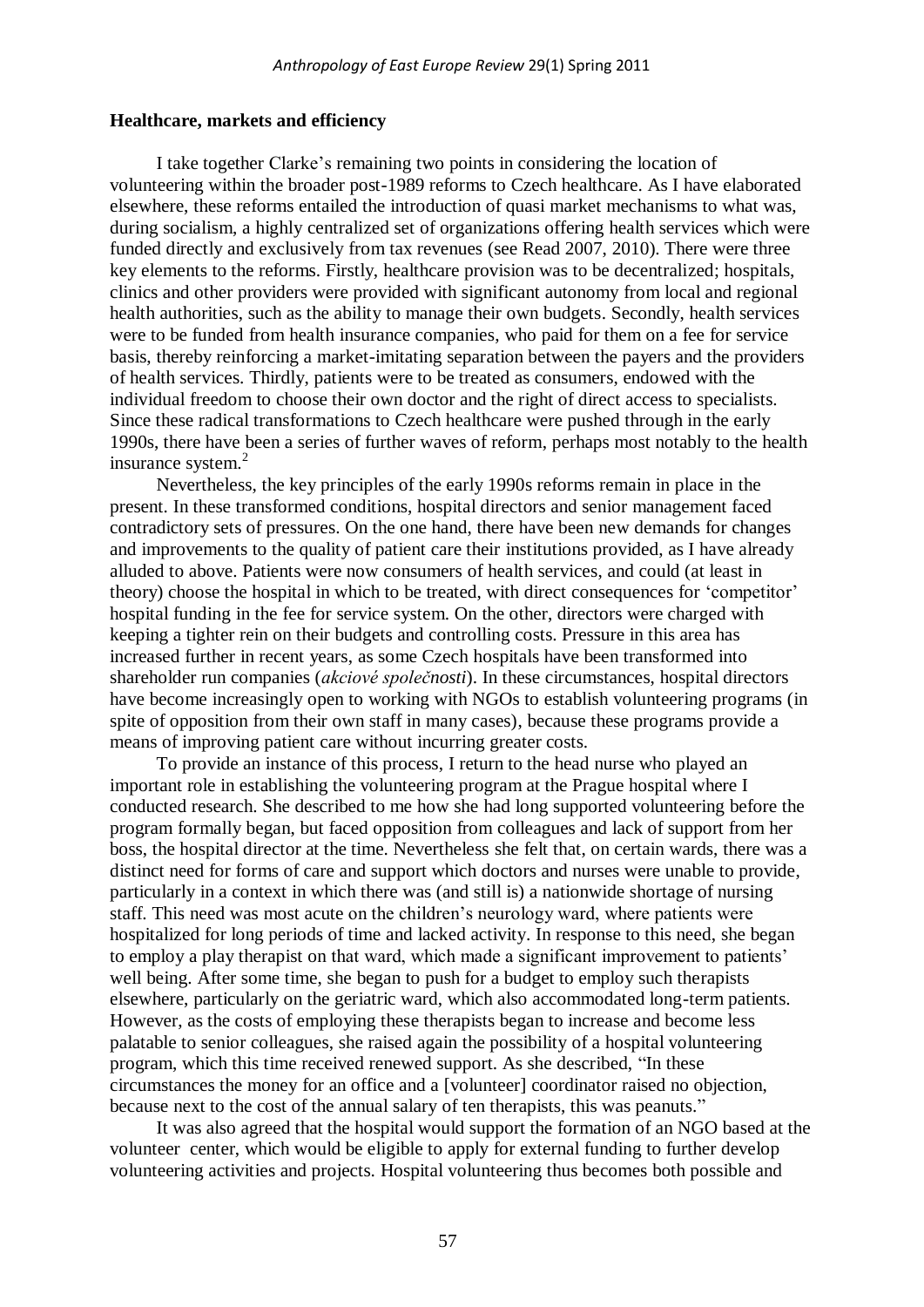#### **Healthcare, markets and efficiency**

I take together Clarke"s remaining two points in considering the location of volunteering within the broader post-1989 reforms to Czech healthcare. As I have elaborated elsewhere, these reforms entailed the introduction of quasi market mechanisms to what was, during socialism, a highly centralized set of organizations offering health services which were funded directly and exclusively from tax revenues (see Read 2007, 2010). There were three key elements to the reforms. Firstly, healthcare provision was to be decentralized; hospitals, clinics and other providers were provided with significant autonomy from local and regional health authorities, such as the ability to manage their own budgets. Secondly, health services were to be funded from health insurance companies, who paid for them on a fee for service basis, thereby reinforcing a market-imitating separation between the payers and the providers of health services. Thirdly, patients were to be treated as consumers, endowed with the individual freedom to choose their own doctor and the right of direct access to specialists. Since these radical transformations to Czech healthcare were pushed through in the early 1990s, there have been a series of further waves of reform, perhaps most notably to the health insurance system.<sup>2</sup>

Nevertheless, the key principles of the early 1990s reforms remain in place in the present. In these transformed conditions, hospital directors and senior management faced contradictory sets of pressures. On the one hand, there have been new demands for changes and improvements to the quality of patient care their institutions provided, as I have already alluded to above. Patients were now consumers of health services, and could (at least in theory) choose the hospital in which to be treated, with direct consequences for "competitor" hospital funding in the fee for service system. On the other, directors were charged with keeping a tighter rein on their budgets and controlling costs. Pressure in this area has increased further in recent years, as some Czech hospitals have been transformed into shareholder run companies (*akciové společnosti*). In these circumstances, hospital directors have become increasingly open to working with NGOs to establish volunteering programs (in spite of opposition from their own staff in many cases), because these programs provide a means of improving patient care without incurring greater costs.

To provide an instance of this process, I return to the head nurse who played an important role in establishing the volunteering program at the Prague hospital where I conducted research. She described to me how she had long supported volunteering before the program formally began, but faced opposition from colleagues and lack of support from her boss, the hospital director at the time. Nevertheless she felt that, on certain wards, there was a distinct need for forms of care and support which doctors and nurses were unable to provide, particularly in a context in which there was (and still is) a nationwide shortage of nursing staff. This need was most acute on the children"s neurology ward, where patients were hospitalized for long periods of time and lacked activity. In response to this need, she began to employ a play therapist on that ward, which made a significant improvement to patients' well being. After some time, she began to push for a budget to employ such therapists elsewhere, particularly on the geriatric ward, which also accommodated long-term patients. However, as the costs of employing these therapists began to increase and become less palatable to senior colleagues, she raised again the possibility of a hospital volunteering program, which this time received renewed support. As she described, "In these circumstances the money for an office and a [volunteer] coordinator raised no objection, because next to the cost of the annual salary of ten therapists, this was peanuts."

It was also agreed that the hospital would support the formation of an NGO based at the volunteer center, which would be eligible to apply for external funding to further develop volunteering activities and projects. Hospital volunteering thus becomes both possible and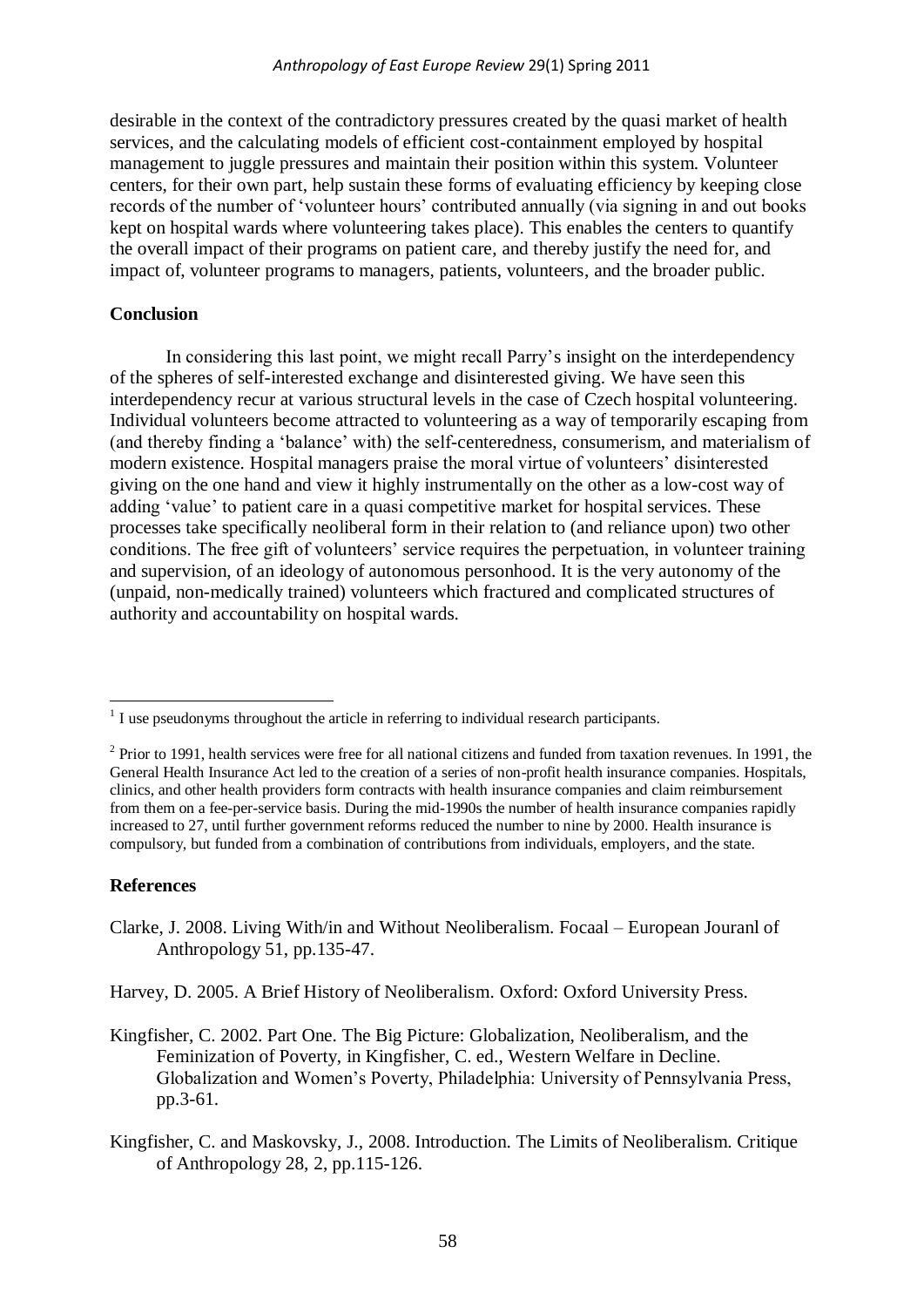desirable in the context of the contradictory pressures created by the quasi market of health services, and the calculating models of efficient cost-containment employed by hospital management to juggle pressures and maintain their position within this system. Volunteer centers, for their own part, help sustain these forms of evaluating efficiency by keeping close records of the number of "volunteer hours" contributed annually (via signing in and out books kept on hospital wards where volunteering takes place). This enables the centers to quantify the overall impact of their programs on patient care, and thereby justify the need for, and impact of, volunteer programs to managers, patients, volunteers, and the broader public.

## **Conclusion**

In considering this last point, we might recall Parry"s insight on the interdependency of the spheres of self-interested exchange and disinterested giving. We have seen this interdependency recur at various structural levels in the case of Czech hospital volunteering. Individual volunteers become attracted to volunteering as a way of temporarily escaping from (and thereby finding a "balance" with) the self-centeredness, consumerism, and materialism of modern existence. Hospital managers praise the moral virtue of volunteers' disinterested giving on the one hand and view it highly instrumentally on the other as a low-cost way of adding 'value' to patient care in a quasi competitive market for hospital services. These processes take specifically neoliberal form in their relation to (and reliance upon) two other conditions. The free gift of volunteers" service requires the perpetuation, in volunteer training and supervision, of an ideology of autonomous personhood. It is the very autonomy of the (unpaid, non-medically trained) volunteers which fractured and complicated structures of authority and accountability on hospital wards.

# **References**

1

- Clarke, J. 2008. Living With/in and Without Neoliberalism. Focaal European Jouranl of Anthropology 51, pp.135-47.
- Harvey, D. 2005. A Brief History of Neoliberalism. Oxford: Oxford University Press.
- Kingfisher, C. 2002. Part One. The Big Picture: Globalization, Neoliberalism, and the Feminization of Poverty, in Kingfisher, C. ed., Western Welfare in Decline. Globalization and Women"s Poverty, Philadelphia: University of Pennsylvania Press, pp.3-61.
- Kingfisher, C. and Maskovsky, J., 2008. Introduction. The Limits of Neoliberalism. Critique of Anthropology 28, 2, pp.115-126.

 $<sup>1</sup>$  I use pseudonyms throughout the article in referring to individual research participants.</sup>

 $2$  Prior to 1991, health services were free for all national citizens and funded from taxation revenues. In 1991, the General Health Insurance Act led to the creation of a series of non-profit health insurance companies. Hospitals, clinics, and other health providers form contracts with health insurance companies and claim reimbursement from them on a fee-per-service basis. During the mid-1990s the number of health insurance companies rapidly increased to 27, until further government reforms reduced the number to nine by 2000. Health insurance is compulsory, but funded from a combination of contributions from individuals, employers, and the state.